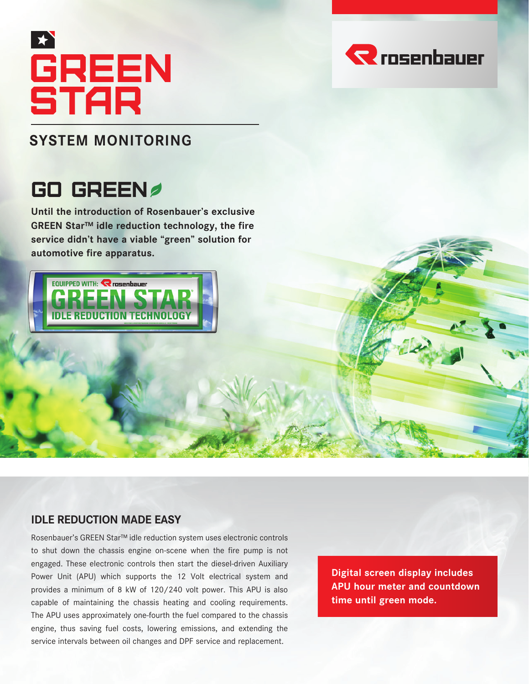# **GREEN STAR**

### **SYSTEM MONITORING**

## GO GREEN

**Until the introduction of Rosenbauer's exclusive GREEN Star™ idle reduction technology, the fire service didn't have a viable "green" solution for automotive fire apparatus.** 



#### **IDLE REDUCTION MADE EASY**

Rosenbauer's GREEN Star™ idle reduction system uses electronic controls to shut down the chassis engine on-scene when the fire pump is not engaged. These electronic controls then start the diesel-driven Auxiliary Power Unit (APU) which supports the 12 Volt electrical system and provides a minimum of 8 kW of 120/240 volt power. This APU is also capable of maintaining the chassis heating and cooling requirements. The APU uses approximately one-fourth the fuel compared to the chassis engine, thus saving fuel costs, lowering emissions, and extending the service intervals between oil changes and DPF service and replacement.

**Digital screen display includes APU hour meter and countdown time until green mode.**